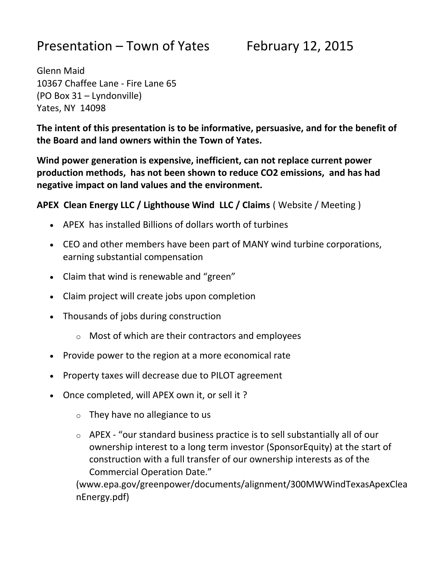# Presentation – Town of Yates February 12, 2015

Glenn Maid 10367 Chaffee Lane - Fire Lane 65 (PO Box 31 – Lyndonville) Yates, NY 14098

**The intent of this presentation is to be informative, persuasive, and for the benefit of the Board and land owners within the Town of Yates.**

**Wind power generation is expensive, inefficient, can not replace current power production methods, has not been shown to reduce CO2 emissions, and has had negative impact on land values and the environment.**

**APEX Clean Energy LLC / Lighthouse Wind LLC / Claims** ( Website / Meeting )

- APEX has installed Billions of dollars worth of turbines
- CEO and other members have been part of MANY wind turbine corporations, earning substantial compensation
- Claim that wind is renewable and "green"
- Claim project will create jobs upon completion
- Thousands of jobs during construction
	- $\circ$  Most of which are their contractors and employees
- Provide power to the region at a more economical rate
- Property taxes will decrease due to PILOT agreement
- Once completed, will APEX own it, or sell it ?
	- $\circ$  They have no allegiance to us
	- o APEX "our standard business practice is to sell substantially all of our ownership interest to a long term investor (SponsorEquity) at the start of construction with a full transfer of our ownership interests as of the Commercial Operation Date."

(www.epa.gov/greenpower/documents/alignment/300MWWindTexasApexClea nEnergy.pdf)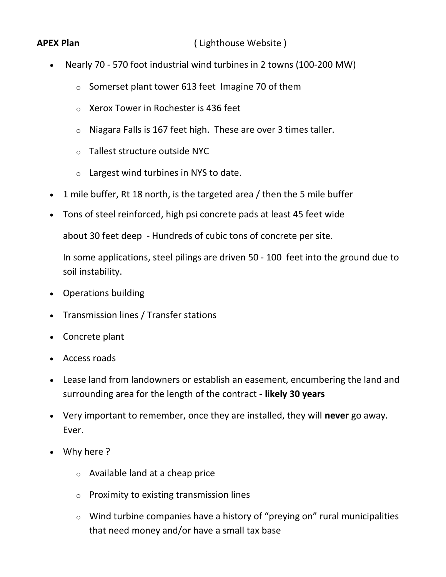**APEX Plan** (Lighthouse Website)

- Nearly 70 570 foot industrial wind turbines in 2 towns (100-200 MW)
	- o Somerset plant tower 613 feet Imagine 70 of them
	- o Xerox Tower in Rochester is 436 feet
	- $\circ$  Niagara Falls is 167 feet high. These are over 3 times taller.
	- o Tallest structure outside NYC
	- $\circ$  Largest wind turbines in NYS to date.
- 1 mile buffer, Rt 18 north, is the targeted area / then the 5 mile buffer
- Tons of steel reinforced, high psi concrete pads at least 45 feet wide

about 30 feet deep - Hundreds of cubic tons of concrete per site.

In some applications, steel pilings are driven 50 - 100 feet into the ground due to soil instability.

- Operations building
- Transmission lines / Transfer stations
- Concrete plant
- Access roads
- Lease land from landowners or establish an easement, encumbering the land and surrounding area for the length of the contract - **likely 30 years**
- Very important to remember, once they are installed, they will **never** go away. Ever.
- Why here ?
	- $\circ$  Available land at a cheap price
	- o Proximity to existing transmission lines
	- o Wind turbine companies have a history of "preying on" rural municipalities that need money and/or have a small tax base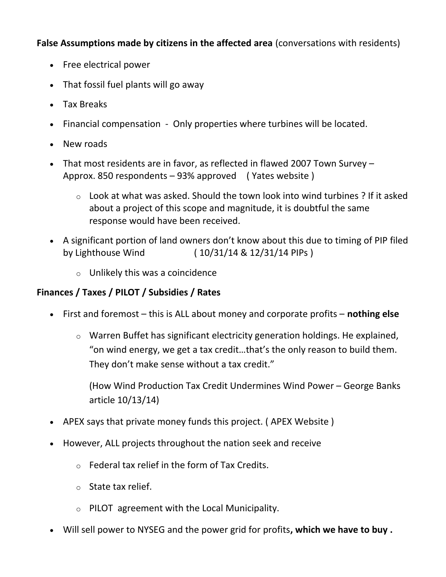**False Assumptions made by citizens in the affected area** (conversations with residents)

- Free electrical power
- That fossil fuel plants will go away
- Tax Breaks
- Financial compensation Only properties where turbines will be located.
- New roads
- That most residents are in favor, as reflected in flawed 2007 Town Survey Approx. 850 respondents – 93% approved ( Yates website )
	- o Look at what was asked. Should the town look into wind turbines ? If it asked about a project of this scope and magnitude, it is doubtful the same response would have been received.
- A significant portion of land owners don't know about this due to timing of PIP filed by Lighthouse Wind ( 10/31/14 & 12/31/14 PIPs )
	- $\circ$  Unlikely this was a coincidence

# **Finances / Taxes / PILOT / Subsidies / Rates**

- First and foremost this is ALL about money and corporate profits **nothing else**
	- o Warren Buffet has significant electricity generation holdings. He explained, "on wind energy, we get a tax credit…that's the only reason to build them. They don't make sense without a tax credit."

(How Wind Production Tax Credit Undermines Wind Power – George Banks article 10/13/14)

- APEX says that private money funds this project. ( APEX Website )
- However, ALL projects throughout the nation seek and receive
	- $\circ$  Federal tax relief in the form of Tax Credits.
	- o State tax relief.
	- o PILOT agreement with the Local Municipality.
- Will sell power to NYSEG and the power grid for profits**, which we have to buy .**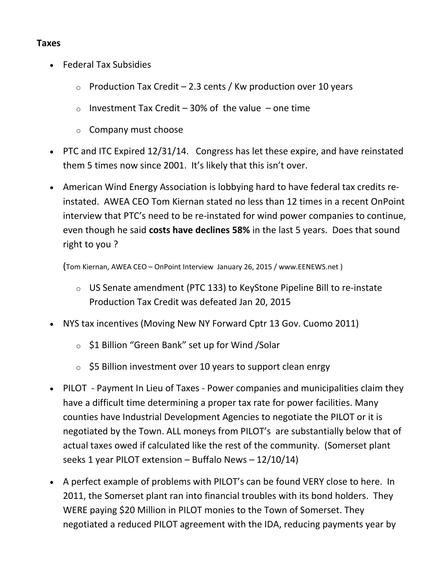#### **Taxes**

- Federal Tax Subsidies
	- $\circ$  Production Tax Credit 2.3 cents / Kw production over 10 years
	- o Investment Tax Credit 30% of the value one time
	- o Company must choose
- PTC and ITC Expired 12/31/14. Congress has let these expire, and have reinstated them 5 times now since 2001. It's likely that this isn't over.
- American Wind Energy Association is lobbying hard to have federal tax credits reinstated. AWEA CEO Tom Kiernan stated no less than 12 times in a recent OnPoint interview that PTC's need to be re-instated for wind power companies to continue, even though he said **costs have declines 58%** in the last 5 years. Does that sound right to you ?

(Tom Kiernan, AWEA CEO – OnPoint Interview January 26, 2015 / www.EENEWS.net )

- o US Senate amendment (PTC 133) to KeyStone Pipeline Bill to re-instate Production Tax Credit was defeated Jan 20, 2015
- NYS tax incentives (Moving New NY Forward Cptr 13 Gov. Cuomo 2011)
	- o \$1 Billion "Green Bank" set up for Wind /Solar
	- $\circ$  \$5 Billion investment over 10 years to support clean enrgy
- PILOT Payment In Lieu of Taxes Power companies and municipalities claim they have a difficult time determining a proper tax rate for power facilities. Many counties have Industrial Development Agencies to negotiate the PILOT or it is negotiated by the Town. ALL moneys from PILOT's are substantially below that of actual taxes owed if calculated like the rest of the community. (Somerset plant seeks 1 year PILOT extension – Buffalo News – 12/10/14)
- A perfect example of problems with PILOT's can be found VERY close to here. In 2011, the Somerset plant ran into financial troubles with its bond holders. They WERE paying \$20 Million in PILOT monies to the Town of Somerset. They negotiated a reduced PILOT agreement with the IDA, reducing payments year by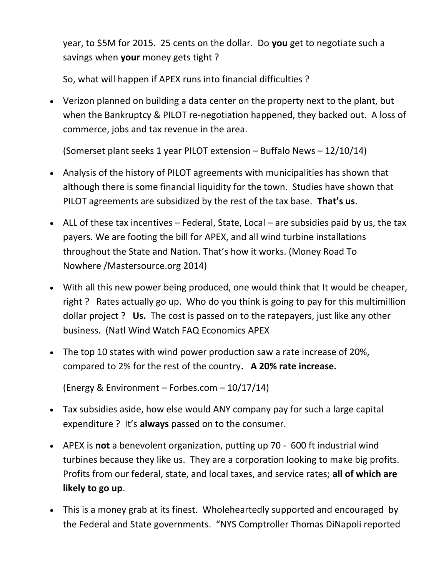year, to \$5M for 2015. 25 cents on the dollar. Do **you** get to negotiate such a savings when **your** money gets tight ?

So, what will happen if APEX runs into financial difficulties ?

 Verizon planned on building a data center on the property next to the plant, but when the Bankruptcy & PILOT re-negotiation happened, they backed out. A loss of commerce, jobs and tax revenue in the area.

(Somerset plant seeks 1 year PILOT extension – Buffalo News – 12/10/14)

- Analysis of the history of PILOT agreements with municipalities has shown that although there is some financial liquidity for the town. Studies have shown that PILOT agreements are subsidized by the rest of the tax base. **That's us**.
- ALL of these tax incentives  $-$  Federal, State, Local  $-$  are subsidies paid by us, the tax payers. We are footing the bill for APEX, and all wind turbine installations throughout the State and Nation. That's how it works. (Money Road To Nowhere /Mastersource.org 2014)
- With all this new power being produced, one would think that It would be cheaper, right ? Rates actually go up. Who do you think is going to pay for this multimillion dollar project ? **Us.** The cost is passed on to the ratepayers, just like any other business. (Natl Wind Watch FAQ Economics APEX
- The top 10 states with wind power production saw a rate increase of 20%, compared to 2% for the rest of the country**. A 20% rate increase.**

(Energy & Environment – Forbes.com – 10/17/14)

- Tax subsidies aside, how else would ANY company pay for such a large capital expenditure ? It's **always** passed on to the consumer.
- APEX is **not** a benevolent organization, putting up 70 600 ft industrial wind turbines because they like us. They are a corporation looking to make big profits. Profits from our federal, state, and local taxes, and service rates; **all of which are likely to go up**.
- This is a money grab at its finest. Wholeheartedly supported and encouraged by the Federal and State governments. "NYS Comptroller Thomas DiNapoli reported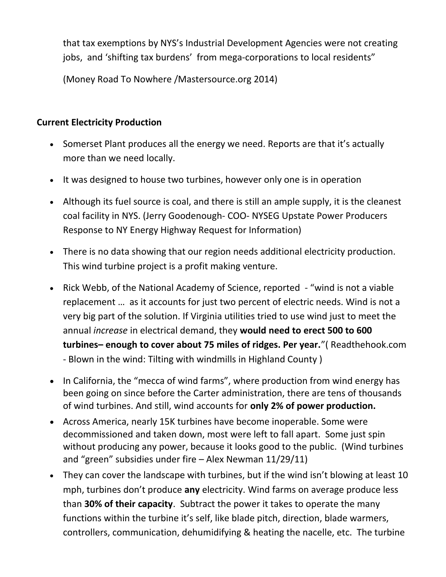that tax exemptions by NYS's Industrial Development Agencies were not creating jobs, and 'shifting tax burdens' from mega-corporations to local residents"

(Money Road To Nowhere /Mastersource.org 2014)

### **Current Electricity Production**

- Somerset Plant produces all the energy we need. Reports are that it's actually more than we need locally.
- It was designed to house two turbines, however only one is in operation
- Although its fuel source is coal, and there is still an ample supply, it is the cleanest coal facility in NYS. (Jerry Goodenough- COO- NYSEG Upstate Power Producers Response to NY Energy Highway Request for Information)
- There is no data showing that our region needs additional electricity production. This wind turbine project is a profit making venture.
- Rick Webb, of the National Academy of Science, reported "wind is not a viable replacement … as it accounts for just two percent of electric needs. Wind is not a very big part of the solution. If Virginia utilities tried to use wind just to meet the annual *increase* in electrical demand, they **would need to erect 500 to 600 turbines– enough to cover about 75 miles of ridges. Per year.**"( Readthehook.com - Blown in the wind: Tilting with windmills in Highland County )
- In California, the "mecca of wind farms", where production from wind energy has been going on since before the Carter administration, there are tens of thousands of wind turbines. And still, wind accounts for **only 2% of power production.**
- Across America, nearly 15K turbines have become inoperable. Some were decommissioned and taken down, most were left to fall apart. Some just spin without producing any power, because it looks good to the public. (Wind turbines and "green" subsidies under fire – Alex Newman 11/29/11)
- They can cover the landscape with turbines, but if the wind isn't blowing at least 10 mph, turbines don't produce **any** electricity. Wind farms on average produce less than **30% of their capacity**. Subtract the power it takes to operate the many functions within the turbine it's self, like blade pitch, direction, blade warmers, controllers, communication, dehumidifying & heating the nacelle, etc. The turbine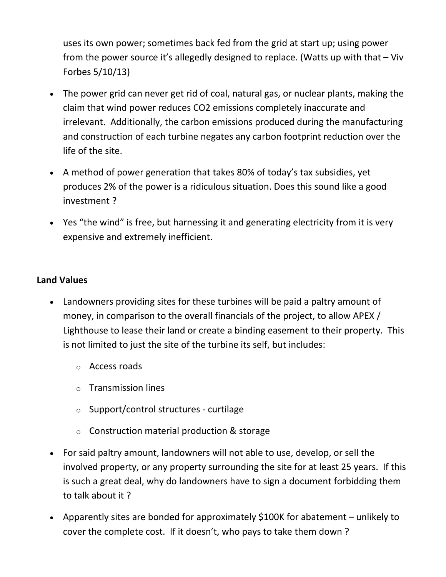uses its own power; sometimes back fed from the grid at start up; using power from the power source it's allegedly designed to replace. (Watts up with that – Viv Forbes 5/10/13)

- The power grid can never get rid of coal, natural gas, or nuclear plants, making the claim that wind power reduces CO2 emissions completely inaccurate and irrelevant. Additionally, the carbon emissions produced during the manufacturing and construction of each turbine negates any carbon footprint reduction over the life of the site.
- A method of power generation that takes 80% of today's tax subsidies, yet produces 2% of the power is a ridiculous situation. Does this sound like a good investment ?
- Yes "the wind" is free, but harnessing it and generating electricity from it is very expensive and extremely inefficient.

#### **Land Values**

- Landowners providing sites for these turbines will be paid a paltry amount of money, in comparison to the overall financials of the project, to allow APEX / Lighthouse to lease their land or create a binding easement to their property. This is not limited to just the site of the turbine its self, but includes:
	- o Access roads
	- o Transmission lines
	- o Support/control structures curtilage
	- $\circ$  Construction material production & storage
- For said paltry amount, landowners will not able to use, develop, or sell the involved property, or any property surrounding the site for at least 25 years. If this is such a great deal, why do landowners have to sign a document forbidding them to talk about it ?
- Apparently sites are bonded for approximately \$100K for abatement unlikely to cover the complete cost. If it doesn't, who pays to take them down ?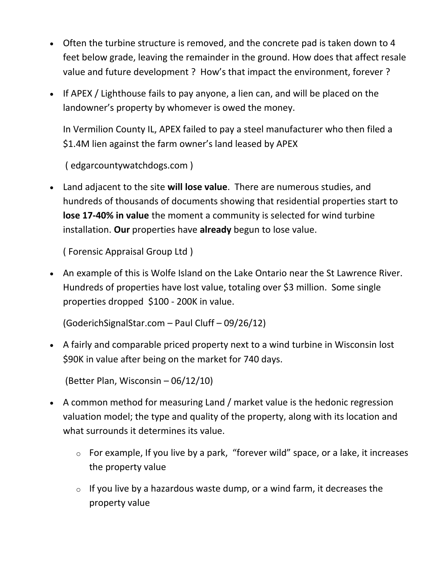- Often the turbine structure is removed, and the concrete pad is taken down to 4 feet below grade, leaving the remainder in the ground. How does that affect resale value and future development ? How's that impact the environment, forever ?
- If APEX / Lighthouse fails to pay anyone, a lien can, and will be placed on the landowner's property by whomever is owed the money.

In Vermilion County IL, APEX failed to pay a steel manufacturer who then filed a \$1.4M lien against the farm owner's land leased by APEX

( edgarcountywatchdogs.com )

 Land adjacent to the site **will lose value**. There are numerous studies, and hundreds of thousands of documents showing that residential properties start to **lose 17-40% in value** the moment a community is selected for wind turbine installation. **Our** properties have **already** begun to lose value.

( Forensic Appraisal Group Ltd )

 An example of this is Wolfe Island on the Lake Ontario near the St Lawrence River. Hundreds of properties have lost value, totaling over \$3 million. Some single properties dropped \$100 - 200K in value.

(GoderichSignalStar.com – Paul Cluff – 09/26/12)

 A fairly and comparable priced property next to a wind turbine in Wisconsin lost \$90K in value after being on the market for 740 days.

(Better Plan, Wisconsin – 06/12/10)

- A common method for measuring Land / market value is the hedonic regression valuation model; the type and quality of the property, along with its location and what surrounds it determines its value.
	- o For example, If you live by a park, "forever wild" space, or a lake, it increases the property value
	- $\circ$  If you live by a hazardous waste dump, or a wind farm, it decreases the property value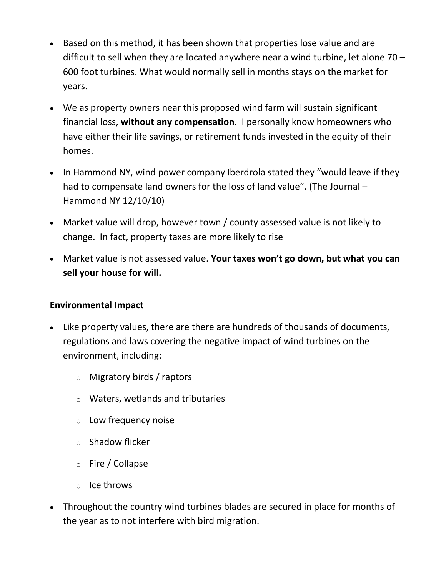- Based on this method, it has been shown that properties lose value and are difficult to sell when they are located anywhere near a wind turbine, let alone 70 – 600 foot turbines. What would normally sell in months stays on the market for years.
- We as property owners near this proposed wind farm will sustain significant financial loss, **without any compensation**. I personally know homeowners who have either their life savings, or retirement funds invested in the equity of their homes.
- In Hammond NY, wind power company Iberdrola stated they "would leave if they had to compensate land owners for the loss of land value". (The Journal – Hammond NY 12/10/10)
- Market value will drop, however town / county assessed value is not likely to change. In fact, property taxes are more likely to rise
- Market value is not assessed value. **Your taxes won't go down, but what you can sell your house for will.**

### **Environmental Impact**

- Like property values, there are there are hundreds of thousands of documents, regulations and laws covering the negative impact of wind turbines on the environment, including:
	- o Migratory birds / raptors
	- o Waters, wetlands and tributaries
	- o Low frequency noise
	- o Shadow flicker
	- o Fire / Collapse
	- o Ice throws
- Throughout the country wind turbines blades are secured in place for months of the year as to not interfere with bird migration.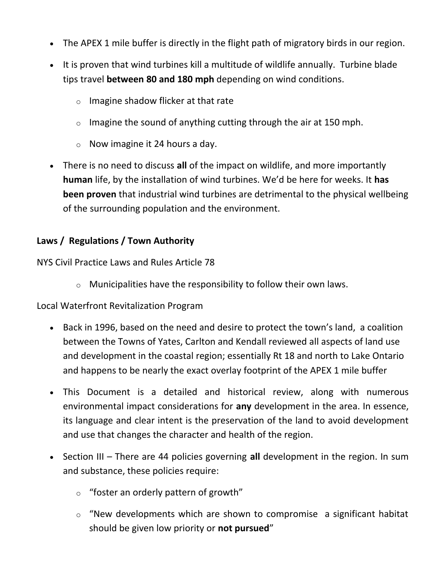- The APEX 1 mile buffer is directly in the flight path of migratory birds in our region.
- It is proven that wind turbines kill a multitude of wildlife annually. Turbine blade tips travel **between 80 and 180 mph** depending on wind conditions.
	- o Imagine shadow flicker at that rate
	- $\circ$  Imagine the sound of anything cutting through the air at 150 mph.
	- $\circ$  Now imagine it 24 hours a day.
- There is no need to discuss **all** of the impact on wildlife, and more importantly **human** life, by the installation of wind turbines. We'd be here for weeks. It **has been proven** that industrial wind turbines are detrimental to the physical wellbeing of the surrounding population and the environment.

# **Laws / Regulations / Town Authority**

NYS Civil Practice Laws and Rules Article 78

 $\circ$  Municipalities have the responsibility to follow their own laws.

Local Waterfront Revitalization Program

- Back in 1996, based on the need and desire to protect the town's land, a coalition between the Towns of Yates, Carlton and Kendall reviewed all aspects of land use and development in the coastal region; essentially Rt 18 and north to Lake Ontario and happens to be nearly the exact overlay footprint of the APEX 1 mile buffer
- This Document is a detailed and historical review, along with numerous environmental impact considerations for **any** development in the area. In essence, its language and clear intent is the preservation of the land to avoid development and use that changes the character and health of the region.
- Section III There are 44 policies governing all development in the region. In sum and substance, these policies require:
	- $\circ$  "foster an orderly pattern of growth"
	- $\circ$  "New developments which are shown to compromise a significant habitat should be given low priority or **not pursued**"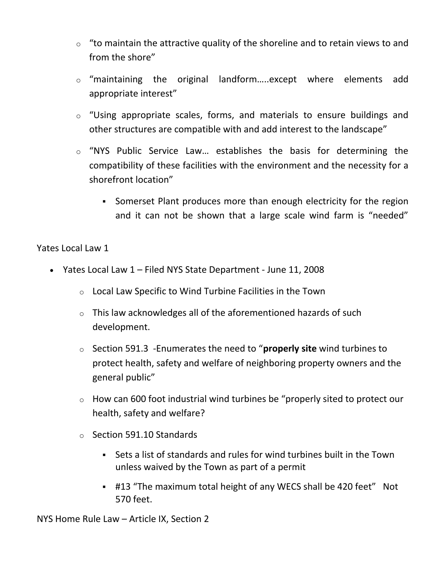- $\circ$  "to maintain the attractive quality of the shoreline and to retain views to and from the shore"
- o "maintaining the original landform…..except where elements add appropriate interest"
- $\circ$  "Using appropriate scales, forms, and materials to ensure buildings and other structures are compatible with and add interest to the landscape"
- o "NYS Public Service Law… establishes the basis for determining the compatibility of these facilities with the environment and the necessity for a shorefront location"
	- Somerset Plant produces more than enough electricity for the region and it can not be shown that a large scale wind farm is "needed"

#### Yates Local Law 1

- Yates Local Law 1 Filed NYS State Department June 11, 2008
	- o Local Law Specific to Wind Turbine Facilities in the Town
	- $\circ$  This law acknowledges all of the aforementioned hazards of such development.
	- o Section 591.3 -Enumerates the need to "**properly site** wind turbines to protect health, safety and welfare of neighboring property owners and the general public"
	- o How can 600 foot industrial wind turbines be "properly sited to protect our health, safety and welfare?
	- o Section 591.10 Standards
		- Sets a list of standards and rules for wind turbines built in the Town unless waived by the Town as part of a permit
		- #13 "The maximum total height of any WECS shall be 420 feet" Not 570 feet.

NYS Home Rule Law – Article IX, Section 2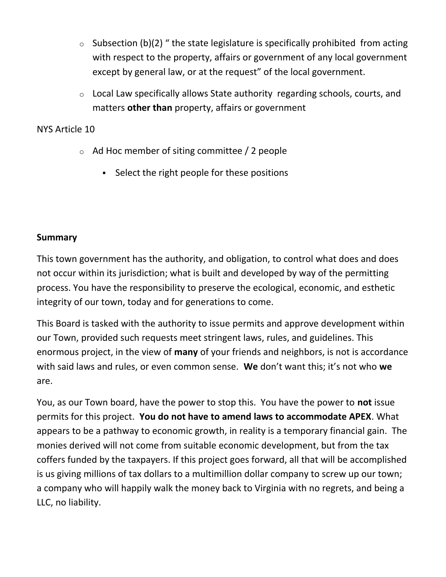- $\circ$  Subsection (b)(2) " the state legislature is specifically prohibited from acting with respect to the property, affairs or government of any local government except by general law, or at the request" of the local government.
- o Local Law specifically allows State authority regarding schools, courts, and matters **other than** property, affairs or government

#### NYS Article 10

- o Ad Hoc member of siting committee / 2 people
	- Select the right people for these positions

#### **Summary**

This town government has the authority, and obligation, to control what does and does not occur within its jurisdiction; what is built and developed by way of the permitting process. You have the responsibility to preserve the ecological, economic, and esthetic integrity of our town, today and for generations to come.

This Board is tasked with the authority to issue permits and approve development within our Town, provided such requests meet stringent laws, rules, and guidelines. This enormous project, in the view of **many** of your friends and neighbors, is not is accordance with said laws and rules, or even common sense. **We** don't want this; it's not who **we** are.

You, as our Town board, have the power to stop this. You have the power to **not** issue permits for this project. **You do not have to amend laws to accommodate APEX**. What appears to be a pathway to economic growth, in reality is a temporary financial gain. The monies derived will not come from suitable economic development, but from the tax coffers funded by the taxpayers. If this project goes forward, all that will be accomplished is us giving millions of tax dollars to a multimillion dollar company to screw up our town; a company who will happily walk the money back to Virginia with no regrets, and being a LLC, no liability.